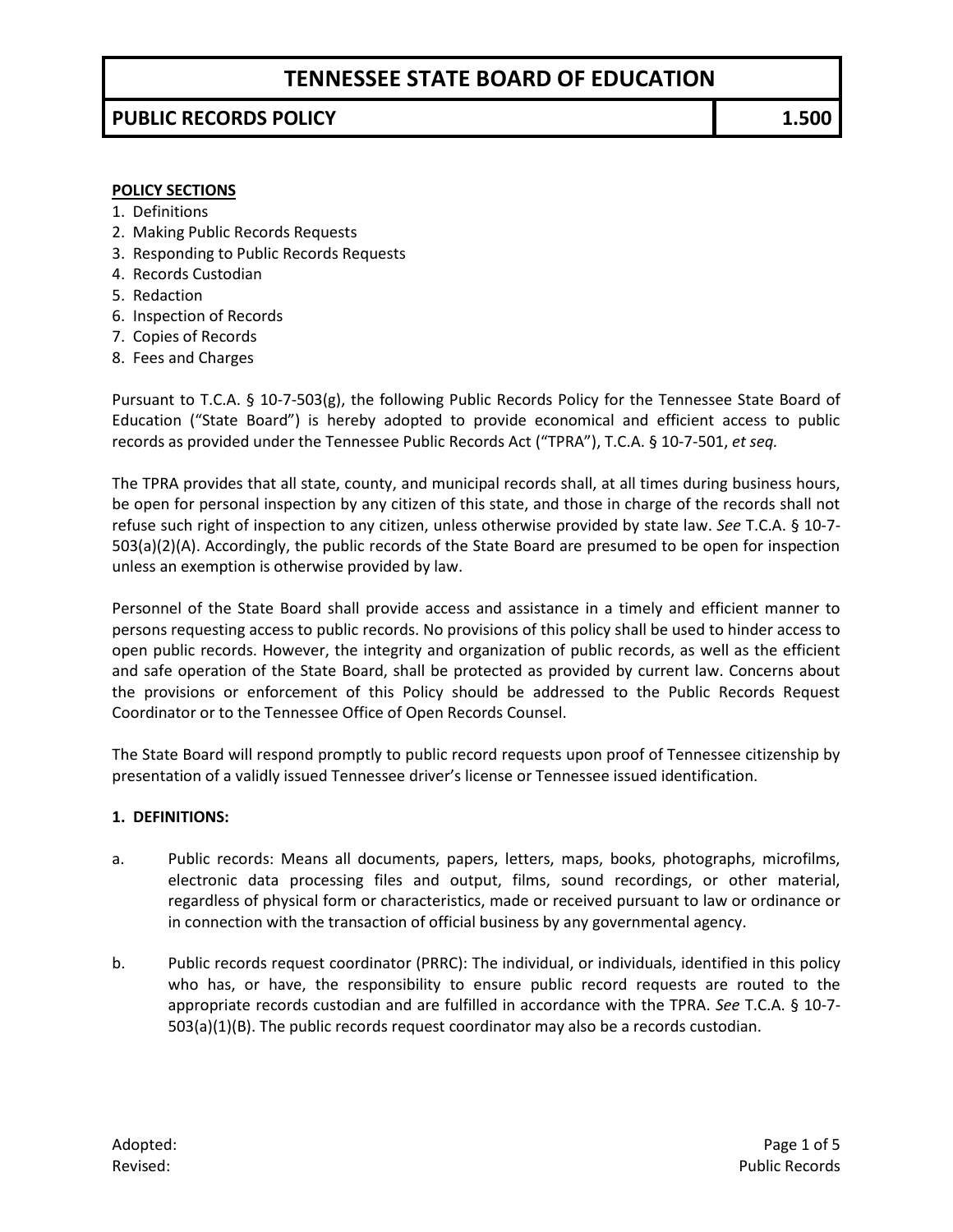## **PUBLIC RECORDS POLICY 1.500**

#### **POLICY SECTIONS**

- 1. Definitions
- 2. Making Public Records Requests
- 3. Responding to Public Records Requests
- 4. Records Custodian
- 5. Redaction
- 6. Inspection of Records
- 7. Copies of Records
- 8. Fees and Charges

Pursuant to T.C.A. § 10-7-503(g), the following Public Records Policy for the Tennessee State Board of Education ("State Board") is hereby adopted to provide economical and efficient access to public records as provided under the Tennessee Public Records Act ("TPRA"), T.C.A. § 10-7-501, *et seq.* 

The TPRA provides that all state, county, and municipal records shall, at all times during business hours, be open for personal inspection by any citizen of this state, and those in charge of the records shall not refuse such right of inspection to any citizen, unless otherwise provided by state law. *See* T.C.A. § 10-7- 503(a)(2)(A). Accordingly, the public records of the State Board are presumed to be open for inspection unless an exemption is otherwise provided by law.

Personnel of the State Board shall provide access and assistance in a timely and efficient manner to persons requesting access to public records. No provisions of this policy shall be used to hinder access to open public records. However, the integrity and organization of public records, as well as the efficient and safe operation of the State Board, shall be protected as provided by current law. Concerns about the provisions or enforcement of this Policy should be addressed to the Public Records Request Coordinator or to the Tennessee Office of Open Records Counsel.

The State Board will respond promptly to public record requests upon proof of Tennessee citizenship by presentation of a validly issued Tennessee driver's license or Tennessee issued identification.

### **1. DEFINITIONS:**

- a. Public records: Means all documents, papers, letters, maps, books, photographs, microfilms, electronic data processing files and output, films, sound recordings, or other material, regardless of physical form or characteristics, made or received pursuant to law or ordinance or in connection with the transaction of official business by any governmental agency.
- b. Public records request coordinator (PRRC): The individual, or individuals, identified in this policy who has, or have, the responsibility to ensure public record requests are routed to the appropriate records custodian and are fulfilled in accordance with the TPRA. *See* T.C.A. § 10-7- 503(a)(1)(B). The public records request coordinator may also be a records custodian.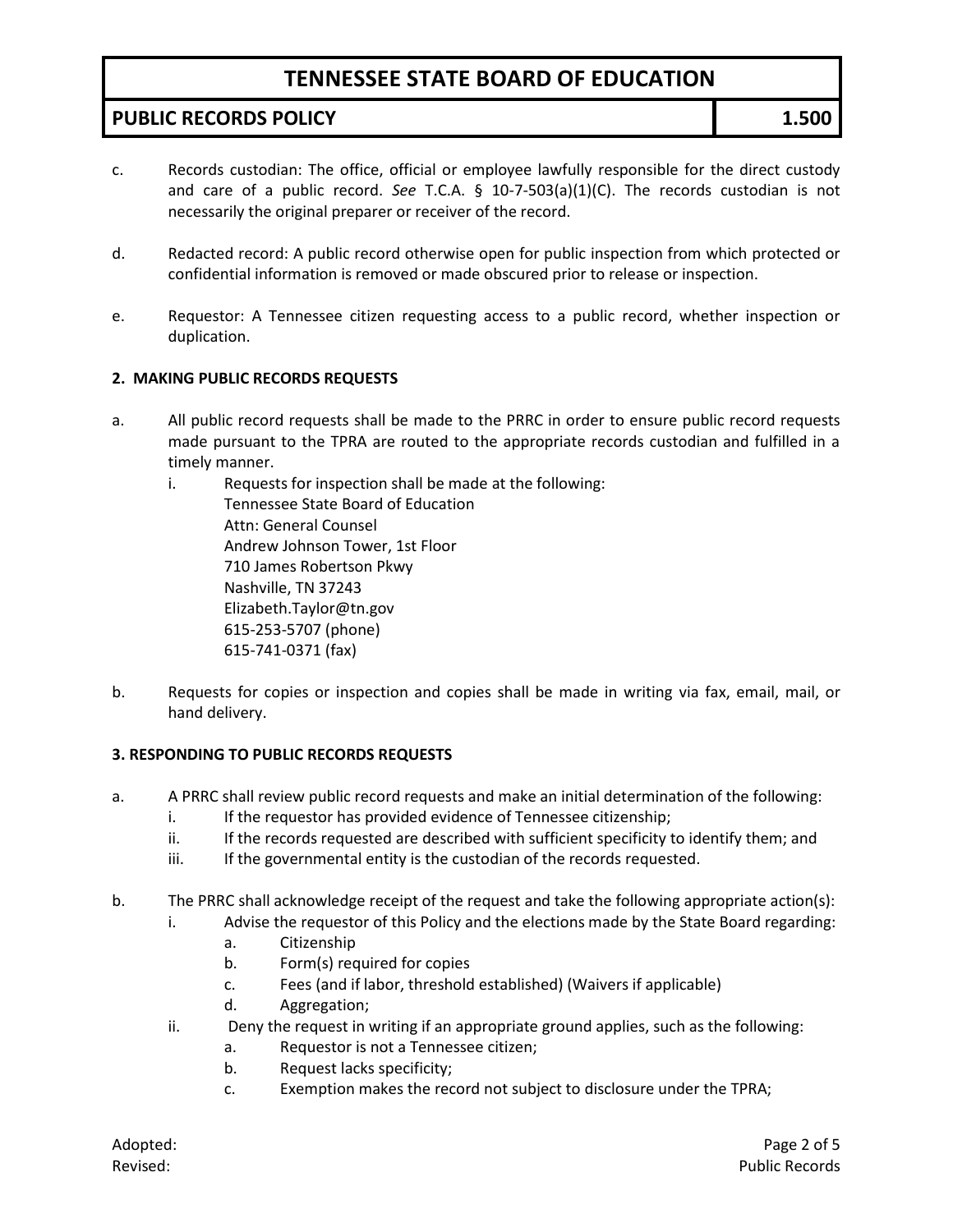## **PUBLIC RECORDS POLICY 1.500**

- c. Records custodian: The office, official or employee lawfully responsible for the direct custody and care of a public record. *See* T.C.A. § 10-7-503(a)(1)(C). The records custodian is not necessarily the original preparer or receiver of the record.
- d. Redacted record: A public record otherwise open for public inspection from which protected or confidential information is removed or made obscured prior to release or inspection.
- e. Requestor: A Tennessee citizen requesting access to a public record, whether inspection or duplication.

### **2. MAKING PUBLIC RECORDS REQUESTS**

- a. All public record requests shall be made to the PRRC in order to ensure public record requests made pursuant to the TPRA are routed to the appropriate records custodian and fulfilled in a timely manner.
	- i. Requests for inspection shall be made at the following: Tennessee State Board of Education Attn: General Counsel Andrew Johnson Tower, 1st Floor 710 James Robertson Pkwy Nashville, TN 37243 Elizabeth.Taylor@tn.gov 615-253-5707 (phone) 615-741-0371 (fax)
- b. Requests for copies or inspection and copies shall be made in writing via fax, email, mail, or hand delivery.

### **3. RESPONDING TO PUBLIC RECORDS REQUESTS**

- a. A PRRC shall review public record requests and make an initial determination of the following:
	- i. If the requestor has provided evidence of Tennessee citizenship;
	- ii. If the records requested are described with sufficient specificity to identify them; and
	- iii. If the governmental entity is the custodian of the records requested.
- b. The PRRC shall acknowledge receipt of the request and take the following appropriate action(s):
	- i. Advise the requestor of this Policy and the elections made by the State Board regarding:
		- a. Citizenship
		- b. Form(s) required for copies
		- c. Fees (and if labor, threshold established) (Waivers if applicable)
		- d. Aggregation;
	- ii. Deny the request in writing if an appropriate ground applies, such as the following:
		- a. Requestor is not a Tennessee citizen;
		- b. Request lacks specificity;
		- c. Exemption makes the record not subject to disclosure under the TPRA;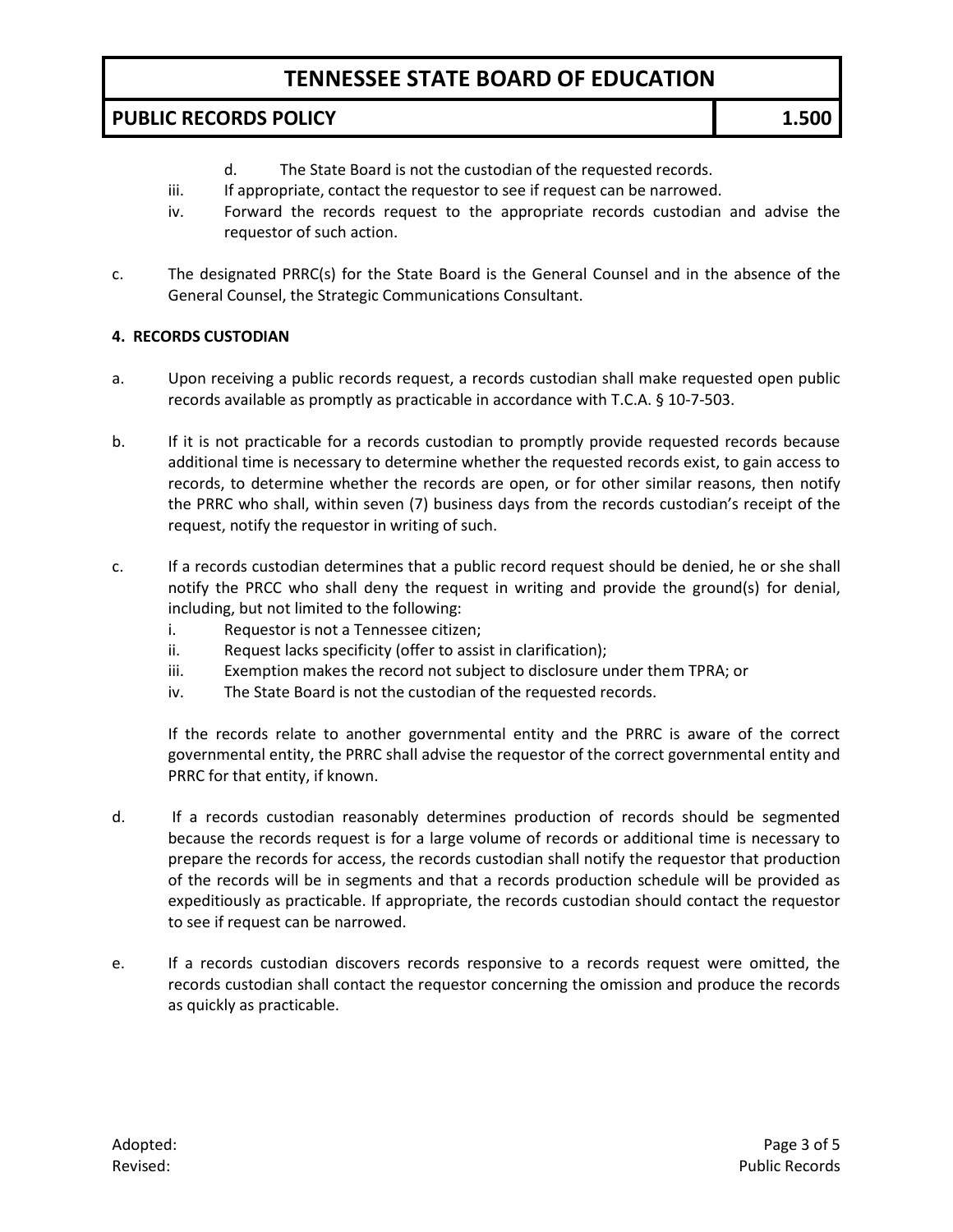## **PUBLIC RECORDS POLICY 1.500**

- d. The State Board is not the custodian of the requested records.
- iii. If appropriate, contact the requestor to see if request can be narrowed.
- iv. Forward the records request to the appropriate records custodian and advise the requestor of such action.
- c. The designated PRRC(s) for the State Board is the General Counsel and in the absence of the General Counsel, the Strategic Communications Consultant.

### **4. RECORDS CUSTODIAN**

- a. Upon receiving a public records request, a records custodian shall make requested open public records available as promptly as practicable in accordance with T.C.A. § 10-7-503.
- b. If it is not practicable for a records custodian to promptly provide requested records because additional time is necessary to determine whether the requested records exist, to gain access to records, to determine whether the records are open, or for other similar reasons, then notify the PRRC who shall, within seven (7) business days from the records custodian's receipt of the request, notify the requestor in writing of such.
- c. If a records custodian determines that a public record request should be denied, he or she shall notify the PRCC who shall deny the request in writing and provide the ground(s) for denial, including, but not limited to the following:
	- i. Requestor is not a Tennessee citizen;
	- ii. Request lacks specificity (offer to assist in clarification);
	- iii. Exemption makes the record not subject to disclosure under them TPRA; or
	- iv. The State Board is not the custodian of the requested records.

If the records relate to another governmental entity and the PRRC is aware of the correct governmental entity, the PRRC shall advise the requestor of the correct governmental entity and PRRC for that entity, if known.

- d. If a records custodian reasonably determines production of records should be segmented because the records request is for a large volume of records or additional time is necessary to prepare the records for access, the records custodian shall notify the requestor that production of the records will be in segments and that a records production schedule will be provided as expeditiously as practicable. If appropriate, the records custodian should contact the requestor to see if request can be narrowed.
- e. If a records custodian discovers records responsive to a records request were omitted, the records custodian shall contact the requestor concerning the omission and produce the records as quickly as practicable.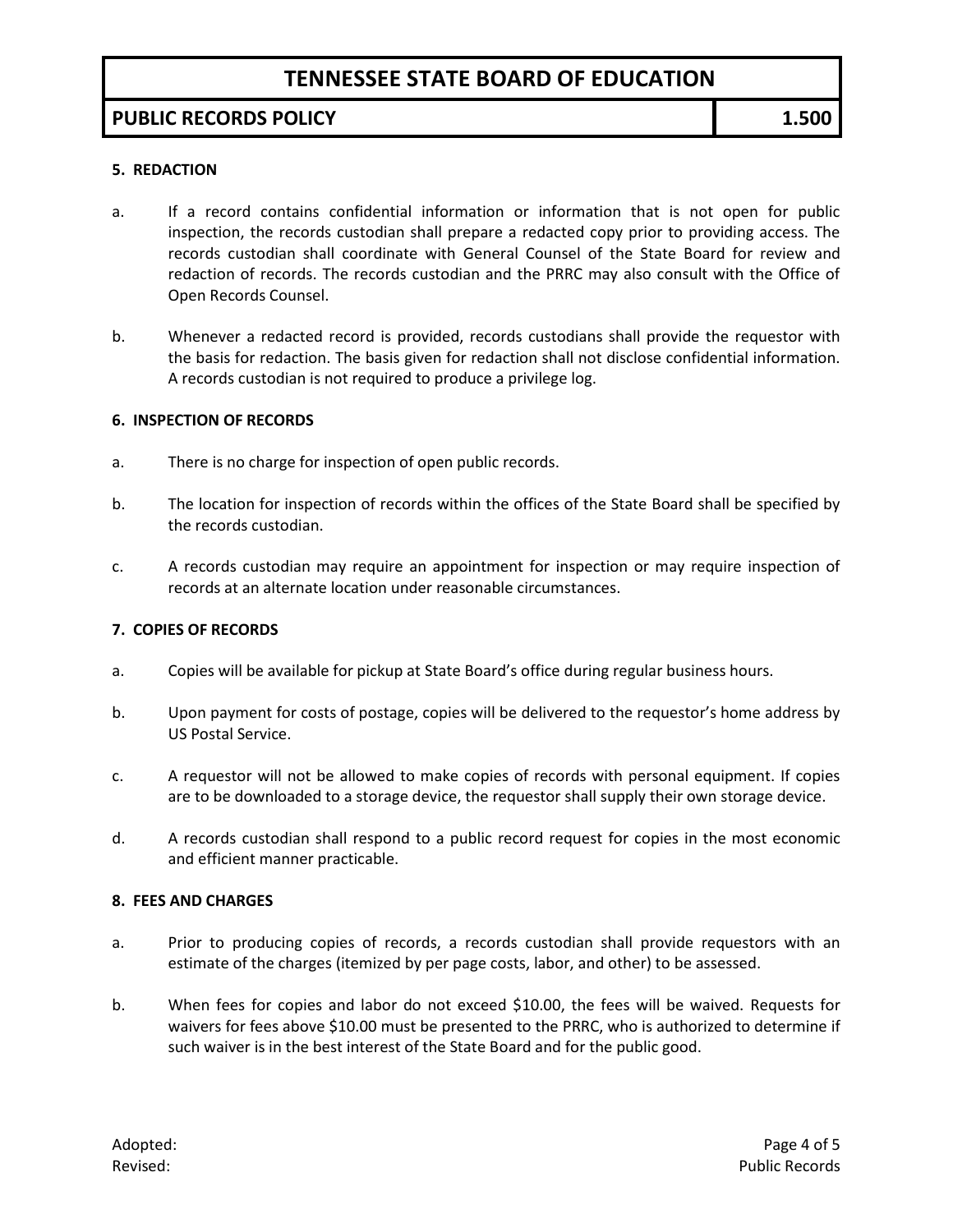## **PUBLIC RECORDS POLICY 1.500**

#### **5. REDACTION**

- a. If a record contains confidential information or information that is not open for public inspection, the records custodian shall prepare a redacted copy prior to providing access. The records custodian shall coordinate with General Counsel of the State Board for review and redaction of records. The records custodian and the PRRC may also consult with the Office of Open Records Counsel.
- b. Whenever a redacted record is provided, records custodians shall provide the requestor with the basis for redaction. The basis given for redaction shall not disclose confidential information. A records custodian is not required to produce a privilege log.

#### **6. INSPECTION OF RECORDS**

- a. There is no charge for inspection of open public records.
- b. The location for inspection of records within the offices of the State Board shall be specified by the records custodian.
- c. A records custodian may require an appointment for inspection or may require inspection of records at an alternate location under reasonable circumstances.

### **7. COPIES OF RECORDS**

- a. Copies will be available for pickup at State Board's office during regular business hours.
- b. Upon payment for costs of postage, copies will be delivered to the requestor's home address by US Postal Service.
- c. A requestor will not be allowed to make copies of records with personal equipment. If copies are to be downloaded to a storage device, the requestor shall supply their own storage device.
- d. A records custodian shall respond to a public record request for copies in the most economic and efficient manner practicable.

#### **8. FEES AND CHARGES**

- a. Prior to producing copies of records, a records custodian shall provide requestors with an estimate of the charges (itemized by per page costs, labor, and other) to be assessed.
- b. When fees for copies and labor do not exceed \$10.00, the fees will be waived. Requests for waivers for fees above \$10.00 must be presented to the PRRC, who is authorized to determine if such waiver is in the best interest of the State Board and for the public good.